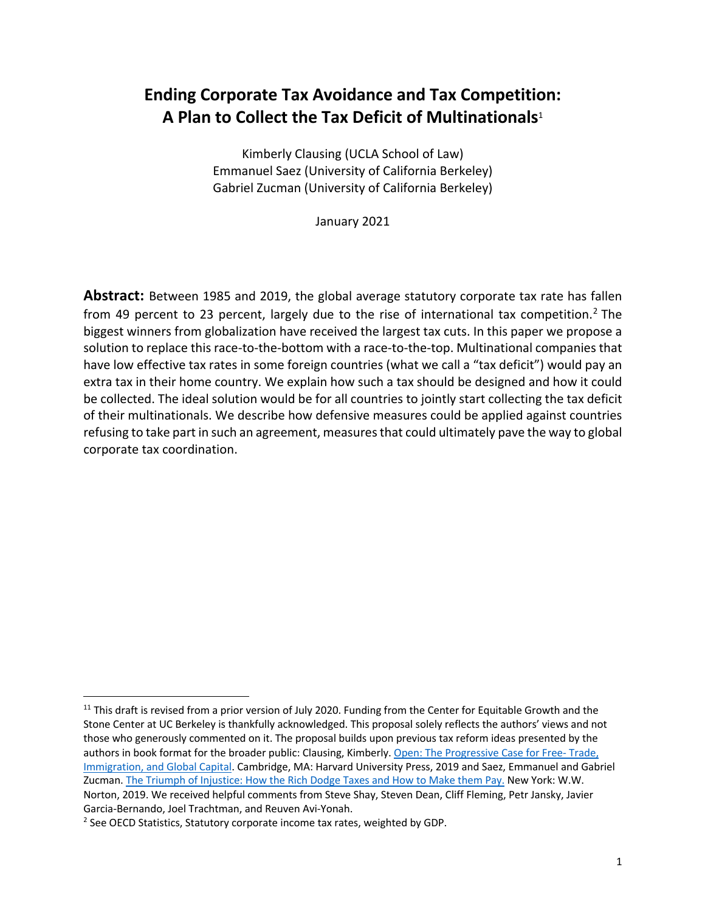# **Ending Corporate Tax Avoidance and Tax Competition: A Plan to Collect the Tax Deficit of Multinationals**<sup>1</sup>

Kimberly Clausing (UCLA School of Law) Emmanuel Saez (University of California Berkeley) Gabriel Zucman (University of California Berkeley)

January 2021

**Abstract:** Between 1985 and 2019, the global average statutory corporate tax rate has fallen from 49 percent to 23 percent, largely due to the rise of international tax competition.<sup>2</sup> The biggest winners from globalization have received the largest tax cuts. In this paper we propose a solution to replace this race-to-the-bottom with a race-to-the-top. Multinational companies that have low effective tax rates in some foreign countries (what we call a "tax deficit") would pay an extra tax in their home country. We explain how such a tax should be designed and how it could be collected. The ideal solution would be for all countries to jointly start collecting the tax deficit of their multinationals. We describe how defensive measures could be applied against countries refusing to take part in such an agreement, measures that could ultimately pave the way to global corporate tax coordination.

<sup>&</sup>lt;sup>11</sup> This draft is revised from a prior version of July 2020. Funding from the Center for Equitable Growth and the Stone Center at UC Berkeley is thankfully acknowledged. This proposal solely reflects the authors' views and not those who generously commented on it. The proposal builds upon previous tax reform ideas presented by the authors in book format for the broader public: Clausing, Kimberly. Open: The Progressive Case for Free-Trade, Immigration, and Global Capital. Cambridge, MA: Harvard University Press, 2019 and Saez, Emmanuel and Gabriel Zucman. The Triumph of Injustice: How the Rich Dodge Taxes and How to Make them Pay. New York: W.W. Norton, 2019. We received helpful comments from Steve Shay, Steven Dean, Cliff Fleming, Petr Jansky, Javier Garcia-Bernando, Joel Trachtman, and Reuven Avi-Yonah.<br><sup>2</sup> See OECD Statistics, Statutory corporate income tax rates, weighted by GDP.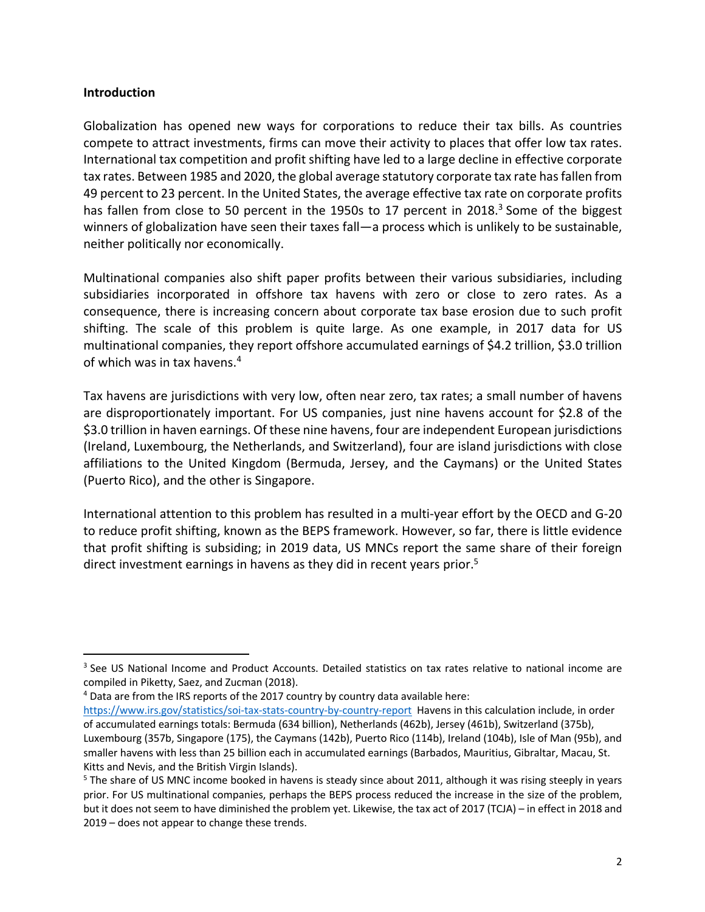### **Introduction**

Globalization has opened new ways for corporations to reduce their tax bills. As countries compete to attract investments, firms can move their activity to places that offer low tax rates. International tax competition and profit shifting have led to a large decline in effective corporate tax rates. Between 1985 and 2020, the global average statutory corporate tax rate has fallen from 49 percent to 23 percent. In the United States, the average effective tax rate on corporate profits has fallen from close to 50 percent in the 1950s to 17 percent in 2018.<sup>3</sup> Some of the biggest winners of globalization have seen their taxes fall—a process which is unlikely to be sustainable, neither politically nor economically.

Multinational companies also shift paper profits between their various subsidiaries, including subsidiaries incorporated in offshore tax havens with zero or close to zero rates. As a consequence, there is increasing concern about corporate tax base erosion due to such profit shifting. The scale of this problem is quite large. As one example, in 2017 data for US multinational companies, they report offshore accumulated earnings of \$4.2 trillion, \$3.0 trillion of which was in tax havens. 4

Tax havens are jurisdictions with very low, often near zero, tax rates; a small number of havens are disproportionately important. For US companies, just nine havens account for \$2.8 of the \$3.0 trillion in haven earnings. Of these nine havens, four are independent European jurisdictions (Ireland, Luxembourg, the Netherlands, and Switzerland), four are island jurisdictions with close affiliations to the United Kingdom (Bermuda, Jersey, and the Caymans) or the United States (Puerto Rico), and the other is Singapore.

International attention to this problem has resulted in a multi-year effort by the OECD and G-20 to reduce profit shifting, known as the BEPS framework. However, so far, there is little evidence that profit shifting is subsiding; in 2019 data, US MNCs report the same share of their foreign direct investment earnings in havens as they did in recent years prior.<sup>5</sup>

<sup>4</sup> Data are from the IRS reports of the 2017 country by country data available here:

https://www.irs.gov/statistics/soi-tax-stats-country-by-country-report Havens in this calculation include, in order of accumulated earnings totals: Bermuda (634 billion), Netherlands (462b), Jersey (461b), Switzerland (375b), Luxembourg (357b, Singapore (175), the Caymans (142b), Puerto Rico (114b), Ireland (104b), Isle of Man (95b), and smaller havens with less than 25 billion each in accumulated earnings (Barbados, Mauritius, Gibraltar, Macau, St. Kitts and Nevis, and the British Virgin Islands).

<sup>&</sup>lt;sup>3</sup> See US National Income and Product Accounts. Detailed statistics on tax rates relative to national income are compiled in Piketty, Saez, and Zucman (2018).

<sup>&</sup>lt;sup>5</sup> The share of US MNC income booked in havens is steady since about 2011, although it was rising steeply in years prior. For US multinational companies, perhaps the BEPS process reduced the increase in the size of the problem, but it does not seem to have diminished the problem yet. Likewise, the tax act of 2017 (TCJA) – in effect in 2018 and 2019 – does not appear to change these trends.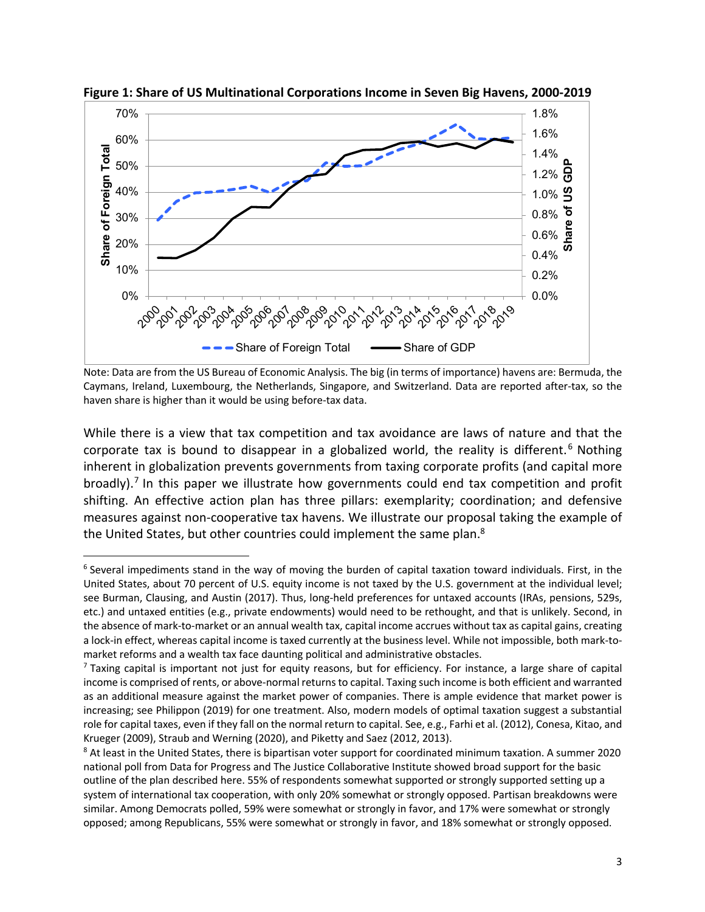

**Figure 1: Share of US Multinational Corporations Income in Seven Big Havens, 2000-2019**

Note: Data are from the US Bureau of Economic Analysis. The big (in terms of importance) havens are: Bermuda, the Caymans, Ireland, Luxembourg, the Netherlands, Singapore, and Switzerland. Data are reported after-tax, so the haven share is higher than it would be using before-tax data.

While there is a view that tax competition and tax avoidance are laws of nature and that the corporate tax is bound to disappear in a globalized world, the reality is different.<sup>6</sup> Nothing inherent in globalization prevents governments from taxing corporate profits (and capital more broadly).<sup>7</sup> In this paper we illustrate how governments could end tax competition and profit shifting. An effective action plan has three pillars: exemplarity; coordination; and defensive measures against non-cooperative tax havens. We illustrate our proposal taking the example of the United States, but other countries could implement the same plan.<sup>8</sup>

<sup>&</sup>lt;sup>6</sup> Several impediments stand in the way of moving the burden of capital taxation toward individuals. First, in the United States, about 70 percent of U.S. equity income is not taxed by the U.S. government at the individual level; see Burman, Clausing, and Austin (2017). Thus, long-held preferences for untaxed accounts (IRAs, pensions, 529s, etc.) and untaxed entities (e.g., private endowments) would need to be rethought, and that is unlikely. Second, in the absence of mark-to-market or an annual wealth tax, capital income accrues without tax as capital gains, creating a lock-in effect, whereas capital income is taxed currently at the business level. While not impossible, both mark-tomarket reforms and a wealth tax face daunting political and administrative obstacles.<br>7 Taxing capital is important not just for equity reasons, but for efficiency. For instance, a large share of capital

income is comprised of rents, or above-normal returns to capital. Taxing such income is both efficient and warranted as an additional measure against the market power of companies. There is ample evidence that market power is increasing; see Philippon (2019) for one treatment. Also, modern models of optimal taxation suggest a substantial role for capital taxes, even if they fall on the normal return to capital. See, e.g., Farhi et al. (2012), Conesa, Kitao, and Krueger (2009), Straub and Werning (2020), and Piketty and Saez (2012, 2013).

<sup>&</sup>lt;sup>8</sup> At least in the United States, there is bipartisan voter support for coordinated minimum taxation. A summer 2020 national poll from Data for Progress and The Justice Collaborative Institute showed broad support for the basic outline of the plan described here. 55% of respondents somewhat supported or strongly supported setting up a system of international tax cooperation, with only 20% somewhat or strongly opposed. Partisan breakdowns were similar. Among Democrats polled, 59% were somewhat or strongly in favor, and 17% were somewhat or strongly opposed; among Republicans, 55% were somewhat or strongly in favor, and 18% somewhat or strongly opposed.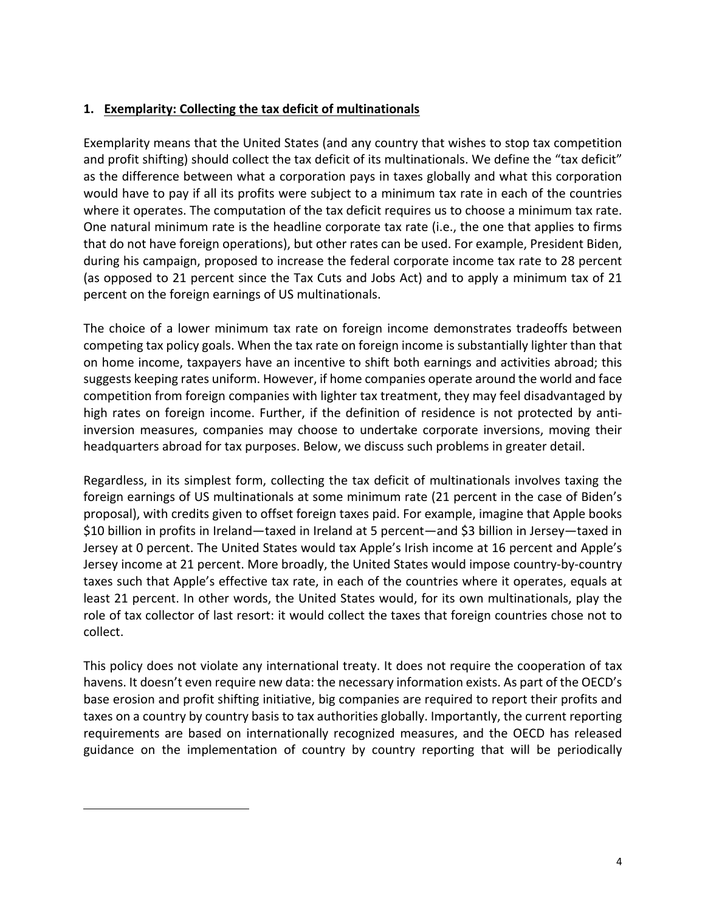# **1. Exemplarity: Collecting the tax deficit of multinationals**

Exemplarity means that the United States (and any country that wishes to stop tax competition and profit shifting) should collect the tax deficit of its multinationals. We define the "tax deficit" as the difference between what a corporation pays in taxes globally and what this corporation would have to pay if all its profits were subject to a minimum tax rate in each of the countries where it operates. The computation of the tax deficit requires us to choose a minimum tax rate. One natural minimum rate is the headline corporate tax rate (i.e., the one that applies to firms that do not have foreign operations), but other rates can be used. For example, President Biden, during his campaign, proposed to increase the federal corporate income tax rate to 28 percent (as opposed to 21 percent since the Tax Cuts and Jobs Act) and to apply a minimum tax of 21 percent on the foreign earnings of US multinationals.

The choice of a lower minimum tax rate on foreign income demonstrates tradeoffs between competing tax policy goals. When the tax rate on foreign income is substantially lighter than that on home income, taxpayers have an incentive to shift both earnings and activities abroad; this suggests keeping rates uniform. However, if home companies operate around the world and face competition from foreign companies with lighter tax treatment, they may feel disadvantaged by high rates on foreign income. Further, if the definition of residence is not protected by antiinversion measures, companies may choose to undertake corporate inversions, moving their headquarters abroad for tax purposes. Below, we discuss such problems in greater detail.

Regardless, in its simplest form, collecting the tax deficit of multinationals involves taxing the foreign earnings of US multinationals at some minimum rate (21 percent in the case of Biden's proposal), with credits given to offset foreign taxes paid. For example, imagine that Apple books \$10 billion in profits in Ireland—taxed in Ireland at 5 percent—and \$3 billion in Jersey—taxed in Jersey at 0 percent. The United States would tax Apple's Irish income at 16 percent and Apple's Jersey income at 21 percent. More broadly, the United States would impose country-by-country taxes such that Apple's effective tax rate, in each of the countries where it operates, equals at least 21 percent. In other words, the United States would, for its own multinationals, play the role of tax collector of last resort: it would collect the taxes that foreign countries chose not to collect.

This policy does not violate any international treaty. It does not require the cooperation of tax havens. It doesn't even require new data: the necessary information exists. As part of the OECD's base erosion and profit shifting initiative, big companies are required to report their profits and taxes on a country by country basis to tax authorities globally. Importantly, the current reporting requirements are based on internationally recognized measures, and the OECD has released guidance on the implementation of country by country reporting that will be periodically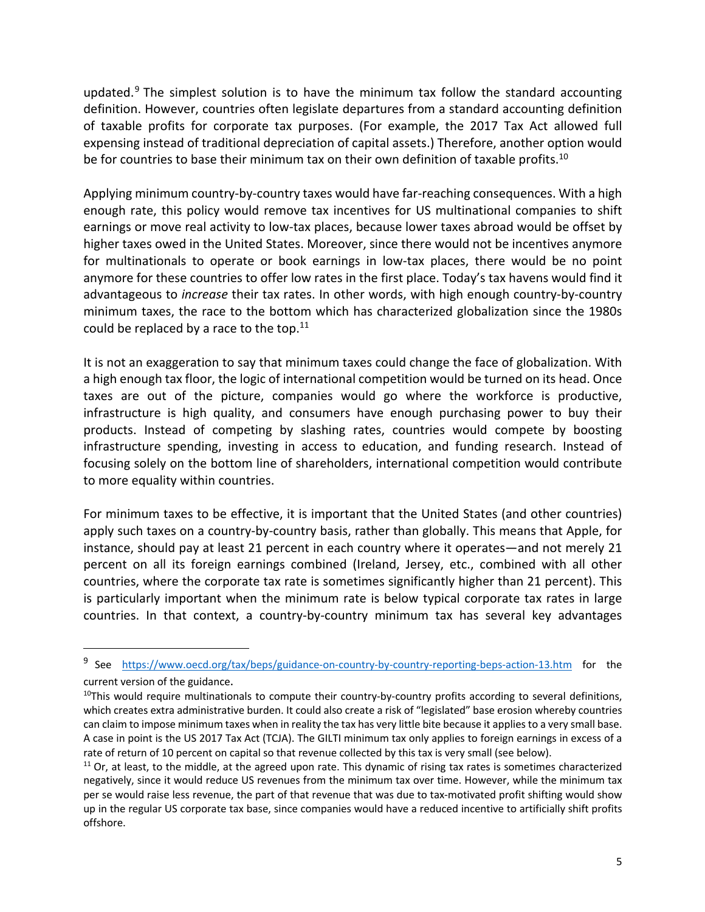updated. $9$  The simplest solution is to have the minimum tax follow the standard accounting definition. However, countries often legislate departures from a standard accounting definition of taxable profits for corporate tax purposes. (For example, the 2017 Tax Act allowed full expensing instead of traditional depreciation of capital assets.) Therefore, another option would be for countries to base their minimum tax on their own definition of taxable profits.<sup>10</sup>

Applying minimum country-by-country taxes would have far-reaching consequences. With a high enough rate, this policy would remove tax incentives for US multinational companies to shift earnings or move real activity to low-tax places, because lower taxes abroad would be offset by higher taxes owed in the United States. Moreover, since there would not be incentives anymore for multinationals to operate or book earnings in low-tax places, there would be no point anymore for these countries to offer low rates in the first place. Today's tax havens would find it advantageous to *increase* their tax rates. In other words, with high enough country-by-country minimum taxes, the race to the bottom which has characterized globalization since the 1980s could be replaced by a race to the top. $^{11}$ 

It is not an exaggeration to say that minimum taxes could change the face of globalization. With a high enough tax floor, the logic of international competition would be turned on its head. Once taxes are out of the picture, companies would go where the workforce is productive, infrastructure is high quality, and consumers have enough purchasing power to buy their products. Instead of competing by slashing rates, countries would compete by boosting infrastructure spending, investing in access to education, and funding research. Instead of focusing solely on the bottom line of shareholders, international competition would contribute to more equality within countries.

For minimum taxes to be effective, it is important that the United States (and other countries) apply such taxes on a country-by-country basis, rather than globally. This means that Apple, for instance, should pay at least 21 percent in each country where it operates—and not merely 21 percent on all its foreign earnings combined (Ireland, Jersey, etc., combined with all other countries, where the corporate tax rate is sometimes significantly higher than 21 percent). This is particularly important when the minimum rate is below typical corporate tax rates in large countries. In that context, a country-by-country minimum tax has several key advantages

<sup>&</sup>lt;sup>9</sup> See https://www.oecd.org/tax/beps/guidance-on-country-by-country-reporting-beps-action-13.htm for the current version of the guidance.

 $10$ This would require multinationals to compute their country-by-country profits according to several definitions, which creates extra administrative burden. It could also create a risk of "legislated" base erosion whereby countries can claim to impose minimum taxes when in reality the tax has very little bite because it applies to a very small base. A case in point is the US 2017 Tax Act (TCJA). The GILTI minimum tax only applies to foreign earnings in excess of a rate of return of 10 percent on capital so that revenue collected by this tax is very small (see below).

 $11$  Or, at least, to the middle, at the agreed upon rate. This dynamic of rising tax rates is sometimes characterized negatively, since it would reduce US revenues from the minimum tax over time. However, while the minimum tax per se would raise less revenue, the part of that revenue that was due to tax-motivated profit shifting would show up in the regular US corporate tax base, since companies would have a reduced incentive to artificially shift profits offshore.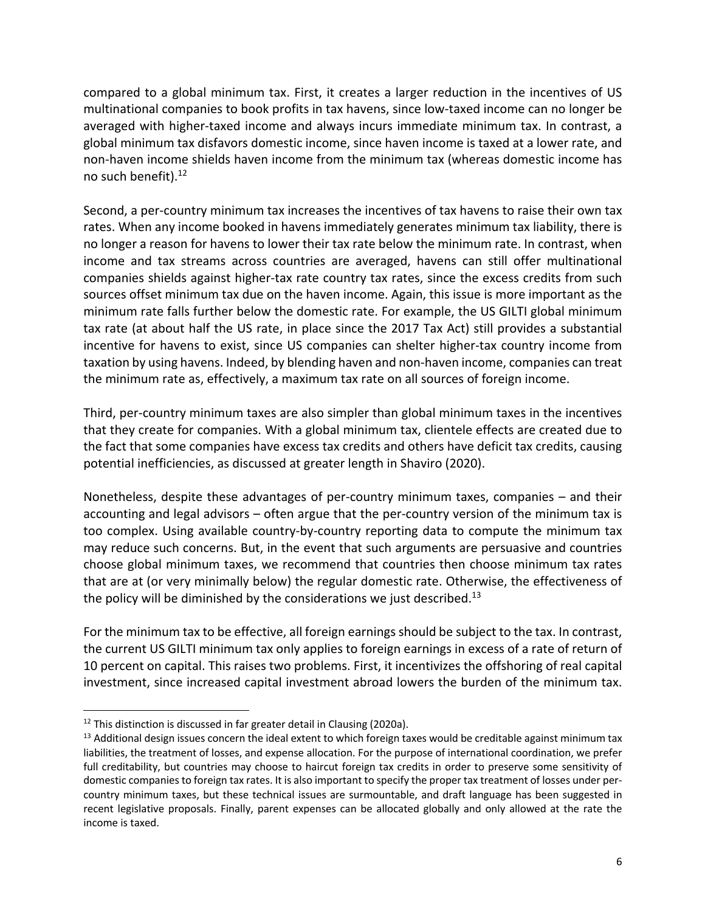compared to a global minimum tax. First, it creates a larger reduction in the incentives of US multinational companies to book profits in tax havens, since low-taxed income can no longer be averaged with higher-taxed income and always incurs immediate minimum tax. In contrast, a global minimum tax disfavors domestic income, since haven income is taxed at a lower rate, and non-haven income shields haven income from the minimum tax (whereas domestic income has no such benefit).12

Second, a per-country minimum tax increases the incentives of tax havens to raise their own tax rates. When any income booked in havens immediately generates minimum tax liability, there is no longer a reason for havens to lower their tax rate below the minimum rate. In contrast, when income and tax streams across countries are averaged, havens can still offer multinational companies shields against higher-tax rate country tax rates, since the excess credits from such sources offset minimum tax due on the haven income. Again, this issue is more important as the minimum rate falls further below the domestic rate. For example, the US GILTI global minimum tax rate (at about half the US rate, in place since the 2017 Tax Act) still provides a substantial incentive for havens to exist, since US companies can shelter higher-tax country income from taxation by using havens. Indeed, by blending haven and non-haven income, companies can treat the minimum rate as, effectively, a maximum tax rate on all sources of foreign income.

Third, per-country minimum taxes are also simpler than global minimum taxes in the incentives that they create for companies. With a global minimum tax, clientele effects are created due to the fact that some companies have excess tax credits and others have deficit tax credits, causing potential inefficiencies, as discussed at greater length in Shaviro (2020).

Nonetheless, despite these advantages of per-country minimum taxes, companies – and their accounting and legal advisors – often argue that the per-country version of the minimum tax is too complex. Using available country-by-country reporting data to compute the minimum tax may reduce such concerns. But, in the event that such arguments are persuasive and countries choose global minimum taxes, we recommend that countries then choose minimum tax rates that are at (or very minimally below) the regular domestic rate. Otherwise, the effectiveness of the policy will be diminished by the considerations we just described.<sup>13</sup>

For the minimum tax to be effective, all foreign earnings should be subject to the tax. In contrast, the current US GILTI minimum tax only applies to foreign earnings in excess of a rate of return of 10 percent on capital. This raises two problems. First, it incentivizes the offshoring of real capital investment, since increased capital investment abroad lowers the burden of the minimum tax.

<sup>&</sup>lt;sup>12</sup> This distinction is discussed in far greater detail in Clausing (2020a).<br><sup>13</sup> Additional design issues concern the ideal extent to which foreign taxes would be creditable against minimum tax liabilities, the treatment of losses, and expense allocation. For the purpose of international coordination, we prefer full creditability, but countries may choose to haircut foreign tax credits in order to preserve some sensitivity of domestic companies to foreign tax rates. It is also important to specify the proper tax treatment of losses under percountry minimum taxes, but these technical issues are surmountable, and draft language has been suggested in recent legislative proposals. Finally, parent expenses can be allocated globally and only allowed at the rate the income is taxed.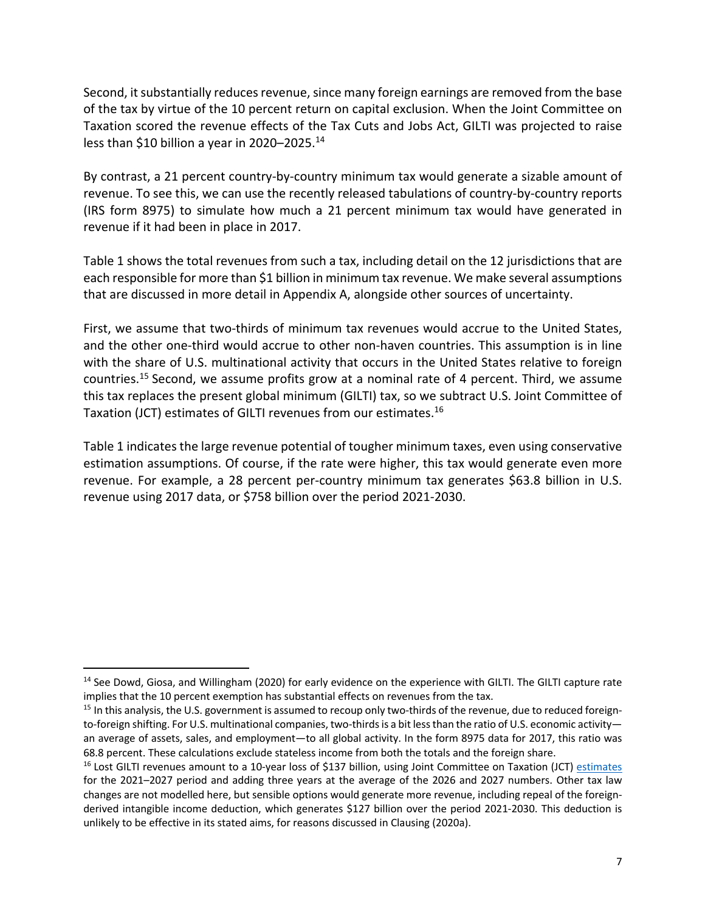Second, it substantially reduces revenue, since many foreign earnings are removed from the base of the tax by virtue of the 10 percent return on capital exclusion. When the Joint Committee on Taxation scored the revenue effects of the Tax Cuts and Jobs Act, GILTI was projected to raise less than \$10 billion a year in 2020–2025.<sup>14</sup>

By contrast, a 21 percent country-by-country minimum tax would generate a sizable amount of revenue. To see this, we can use the recently released tabulations of country-by-country reports (IRS form 8975) to simulate how much a 21 percent minimum tax would have generated in revenue if it had been in place in 2017.

Table 1 shows the total revenues from such a tax, including detail on the 12 jurisdictions that are each responsible for more than \$1 billion in minimum tax revenue. We make several assumptions that are discussed in more detail in Appendix A, alongside other sources of uncertainty.

First, we assume that two-thirds of minimum tax revenues would accrue to the United States, and the other one-third would accrue to other non-haven countries. This assumption is in line with the share of U.S. multinational activity that occurs in the United States relative to foreign countries.15 Second, we assume profits grow at a nominal rate of 4 percent. Third, we assume this tax replaces the present global minimum (GILTI) tax, so we subtract U.S. Joint Committee of Taxation (JCT) estimates of GILTI revenues from our estimates.16

Table 1 indicates the large revenue potential of tougher minimum taxes, even using conservative estimation assumptions. Of course, if the rate were higher, this tax would generate even more revenue. For example, a 28 percent per-country minimum tax generates \$63.8 billion in U.S. revenue using 2017 data, or \$758 billion over the period 2021-2030.

<sup>&</sup>lt;sup>14</sup> See Dowd, Giosa, and Willingham (2020) for early evidence on the experience with GILTI. The GILTI capture rate implies that the 10 percent exemption has substantial effects on revenues from the tax.

 $15$  In this analysis, the U.S. government is assumed to recoup only two-thirds of the revenue, due to reduced foreignto-foreign shifting. For U.S. multinational companies, two-thirds is a bit less than the ratio of U.S. economic activity an average of assets, sales, and employment—to all global activity. In the form 8975 data for 2017, this ratio was 68.8 percent. These calculations exclude stateless income from both the totals and the foreign share.

<sup>&</sup>lt;sup>16</sup> Lost GILTI revenues amount to a 10-year loss of \$137 billion, using Joint Committee on Taxation (JCT) estimates for the 2021–2027 period and adding three years at the average of the 2026 and 2027 numbers. Other tax law changes are not modelled here, but sensible options would generate more revenue, including repeal of the foreignderived intangible income deduction, which generates \$127 billion over the period 2021-2030. This deduction is unlikely to be effective in its stated aims, for reasons discussed in Clausing (2020a).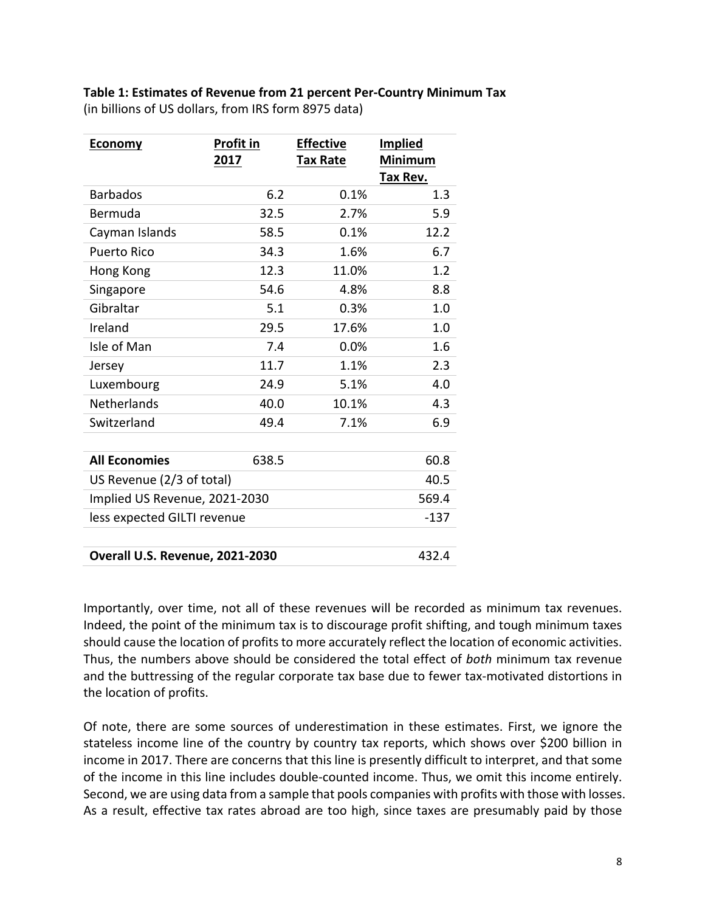**Table 1: Estimates of Revenue from 21 percent Per-Country Minimum Tax** (in billions of US dollars, from IRS form 8975 data)

| <b>Economy</b>                           | <b>Profit in</b> | <b>Effective</b> | <b>Implied</b>      |  |
|------------------------------------------|------------------|------------------|---------------------|--|
|                                          | 2017             | <b>Tax Rate</b>  | Minimum<br>Tax Rev. |  |
| <b>Barbados</b>                          | 6.2              | 0.1%             | 1.3                 |  |
| Bermuda                                  | 32.5             | 2.7%             | 5.9                 |  |
| Cayman Islands                           | 58.5             | 0.1%             | 12.2                |  |
| <b>Puerto Rico</b>                       | 34.3             | 1.6%             | 6.7                 |  |
| Hong Kong                                | 12.3             | 11.0%            | 1.2                 |  |
| Singapore                                | 54.6             | 4.8%             | 8.8                 |  |
| Gibraltar                                | 5.1              | 0.3%             | 1.0                 |  |
| Ireland                                  | 29.5             | 17.6%            | 1.0                 |  |
| Isle of Man                              | 7.4              | 0.0%             | 1.6                 |  |
| Jersey                                   | 11.7             | 1.1%             | 2.3                 |  |
| Luxembourg                               | 24.9             | 5.1%             | 4.0                 |  |
| <b>Netherlands</b>                       | 40.0             | 10.1%            | 4.3                 |  |
| Switzerland                              | 49.4             | 7.1%             | 6.9                 |  |
|                                          |                  |                  |                     |  |
| <b>All Economies</b>                     | 638.5            |                  | 60.8                |  |
| US Revenue (2/3 of total)                |                  |                  | 40.5                |  |
| Implied US Revenue, 2021-2030            |                  |                  | 569.4               |  |
| less expected GILTI revenue              |                  |                  | $-137$              |  |
|                                          |                  |                  |                     |  |
| 432.4<br>Overall U.S. Revenue, 2021-2030 |                  |                  |                     |  |

Importantly, over time, not all of these revenues will be recorded as minimum tax revenues. Indeed, the point of the minimum tax is to discourage profit shifting, and tough minimum taxes should cause the location of profits to more accurately reflect the location of economic activities. Thus, the numbers above should be considered the total effect of *both* minimum tax revenue and the buttressing of the regular corporate tax base due to fewer tax-motivated distortions in the location of profits.

Of note, there are some sources of underestimation in these estimates. First, we ignore the stateless income line of the country by country tax reports, which shows over \$200 billion in income in 2017. There are concerns that this line is presently difficult to interpret, and that some of the income in this line includes double-counted income. Thus, we omit this income entirely. Second, we are using data from a sample that pools companies with profits with those with losses. As a result, effective tax rates abroad are too high, since taxes are presumably paid by those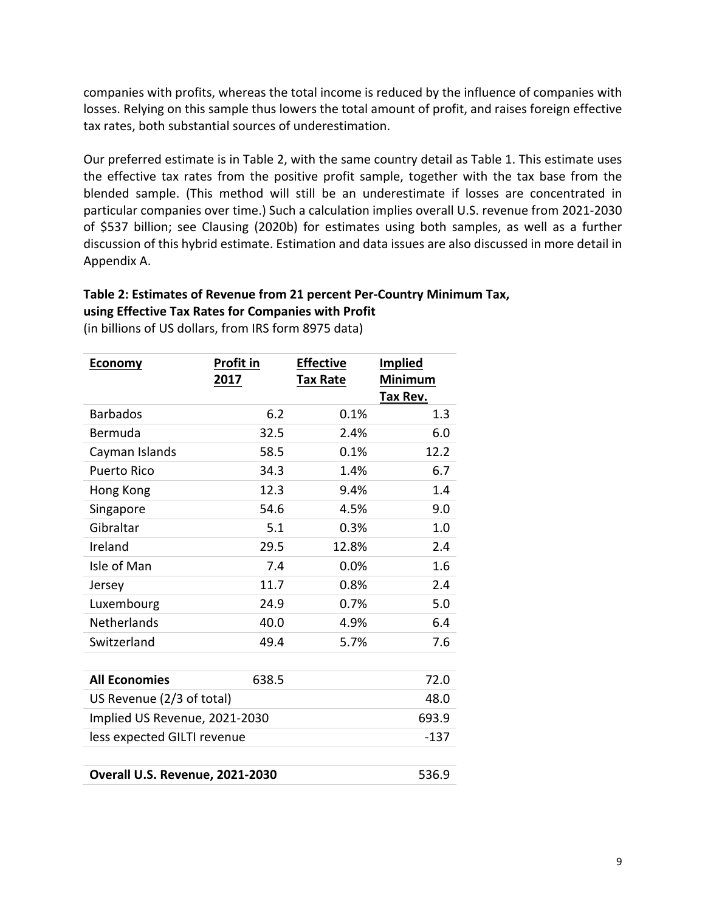companies with profits, whereas the total income is reduced by the influence of companies with losses. Relying on this sample thus lowers the total amount of profit, and raises foreign effective tax rates, both substantial sources of underestimation.

Our preferred estimate is in Table 2, with the same country detail as Table 1. This estimate uses the effective tax rates from the positive profit sample, together with the tax base from the blended sample. (This method will still be an underestimate if losses are concentrated in particular companies over time.) Such a calculation implies overall U.S. revenue from 2021-2030 of \$537 billion; see Clausing (2020b) for estimates using both samples, as well as a further discussion of this hybrid estimate. Estimation and data issues are also discussed in more detail in Appendix A.

# **Table 2: Estimates of Revenue from 21 percent Per-Country Minimum Tax, using Effective Tax Rates for Companies with Profit**

| <b>Economy</b>                  | Profit in | <b>Effective</b> | <b>Implied</b> |  |
|---------------------------------|-----------|------------------|----------------|--|
|                                 | 2017      | <b>Tax Rate</b>  | <b>Minimum</b> |  |
|                                 |           |                  | Tax Rev.       |  |
| <b>Barbados</b>                 | 6.2       | 0.1%             | 1.3            |  |
| Bermuda                         | 32.5      | 2.4%             | 6.0            |  |
| Cayman Islands                  | 58.5      | 0.1%             | 12.2           |  |
| <b>Puerto Rico</b>              | 34.3      | 1.4%             | 6.7            |  |
| Hong Kong                       | 12.3      | 9.4%             | 1.4            |  |
| Singapore                       | 54.6      | 4.5%             | 9.0            |  |
| Gibraltar                       | 5.1       | 0.3%             | 1.0            |  |
| Ireland                         | 29.5      | 12.8%            | 2.4            |  |
| Isle of Man                     | 7.4       | 0.0%             | 1.6            |  |
| Jersey                          | 11.7      | 0.8%             | 2.4            |  |
| Luxembourg                      | 24.9      | 0.7%             | 5.0            |  |
| Netherlands                     | 40.0      | 4.9%             | 6.4            |  |
| Switzerland                     | 49.4      | 5.7%             | 7.6            |  |
|                                 |           |                  |                |  |
| <b>All Economies</b>            | 638.5     |                  | 72.0           |  |
| US Revenue (2/3 of total)       | 48.0      |                  |                |  |
| Implied US Revenue, 2021-2030   | 693.9     |                  |                |  |
| less expected GILTI revenue     |           |                  |                |  |
|                                 |           |                  |                |  |
| Overall U.S. Revenue, 2021-2030 |           |                  |                |  |

(in billions of US dollars, from IRS form 8975 data)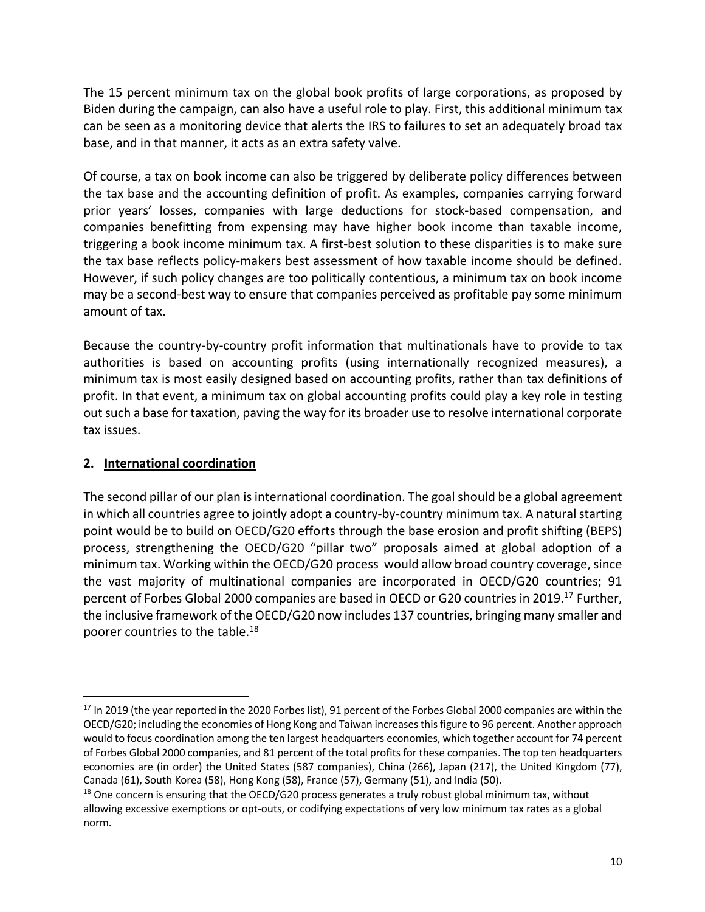The 15 percent minimum tax on the global book profits of large corporations, as proposed by Biden during the campaign, can also have a useful role to play. First, this additional minimum tax can be seen as a monitoring device that alerts the IRS to failures to set an adequately broad tax base, and in that manner, it acts as an extra safety valve.

Of course, a tax on book income can also be triggered by deliberate policy differences between the tax base and the accounting definition of profit. As examples, companies carrying forward prior years' losses, companies with large deductions for stock-based compensation, and companies benefitting from expensing may have higher book income than taxable income, triggering a book income minimum tax. A first-best solution to these disparities is to make sure the tax base reflects policy-makers best assessment of how taxable income should be defined. However, if such policy changes are too politically contentious, a minimum tax on book income may be a second-best way to ensure that companies perceived as profitable pay some minimum amount of tax.

Because the country-by-country profit information that multinationals have to provide to tax authorities is based on accounting profits (using internationally recognized measures), a minimum tax is most easily designed based on accounting profits, rather than tax definitions of profit. In that event, a minimum tax on global accounting profits could play a key role in testing out such a base for taxation, paving the way for its broader use to resolve international corporate tax issues.

# **2. International coordination**

The second pillar of our plan is international coordination. The goal should be a global agreement in which all countries agree to jointly adopt a country-by-country minimum tax. A natural starting point would be to build on OECD/G20 efforts through the base erosion and profit shifting (BEPS) process, strengthening the OECD/G20 "pillar two" proposals aimed at global adoption of a minimum tax. Working within the OECD/G20 process would allow broad country coverage, since the vast majority of multinational companies are incorporated in OECD/G20 countries; 91 percent of Forbes Global 2000 companies are based in OECD or G20 countries in 2019.<sup>17</sup> Further, the inclusive framework of the OECD/G20 now includes 137 countries, bringing many smaller and poorer countries to the table.<sup>18</sup>

<sup>&</sup>lt;sup>17</sup> In 2019 (the year reported in the 2020 Forbes list), 91 percent of the Forbes Global 2000 companies are within the OECD/G20; including the economies of Hong Kong and Taiwan increases this figure to 96 percent. Another approach would to focus coordination among the ten largest headquarters economies, which together account for 74 percent of Forbes Global 2000 companies, and 81 percent of the total profits for these companies. The top ten headquarters economies are (in order) the United States (587 companies), China (266), Japan (217), the United Kingdom (77), Canada (61), South Korea (58), Hong Kong (58), France (57), Germany (51), and India (50).

 $18$  One concern is ensuring that the OECD/G20 process generates a truly robust global minimum tax, without allowing excessive exemptions or opt-outs, or codifying expectations of very low minimum tax rates as a global norm.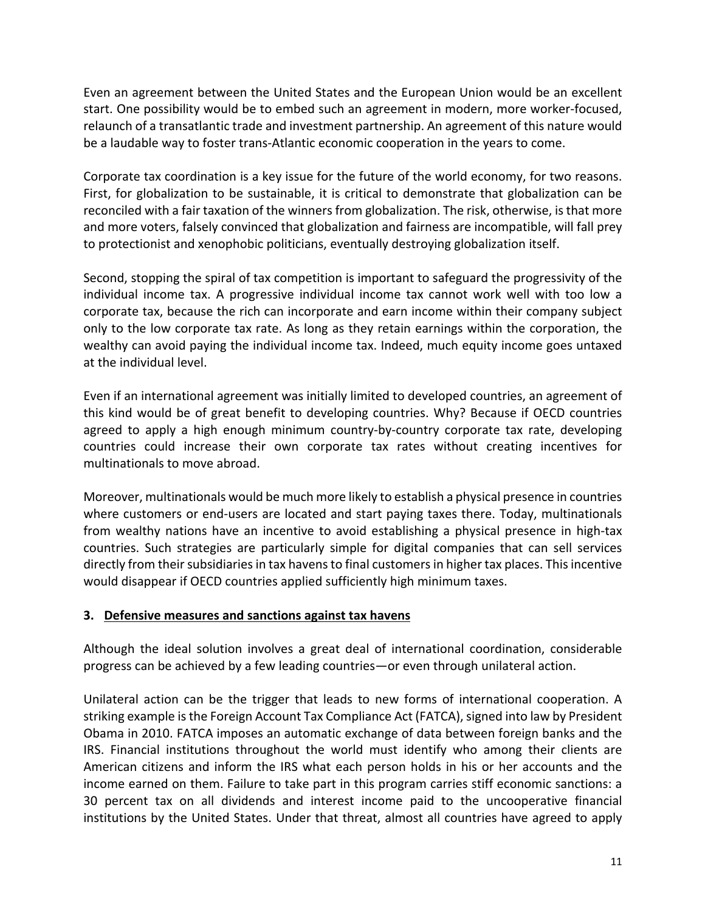Even an agreement between the United States and the European Union would be an excellent start. One possibility would be to embed such an agreement in modern, more worker-focused, relaunch of a transatlantic trade and investment partnership. An agreement of this nature would be a laudable way to foster trans-Atlantic economic cooperation in the years to come.

Corporate tax coordination is a key issue for the future of the world economy, for two reasons. First, for globalization to be sustainable, it is critical to demonstrate that globalization can be reconciled with a fair taxation of the winners from globalization. The risk, otherwise, is that more and more voters, falsely convinced that globalization and fairness are incompatible, will fall prey to protectionist and xenophobic politicians, eventually destroying globalization itself.

Second, stopping the spiral of tax competition is important to safeguard the progressivity of the individual income tax. A progressive individual income tax cannot work well with too low a corporate tax, because the rich can incorporate and earn income within their company subject only to the low corporate tax rate. As long as they retain earnings within the corporation, the wealthy can avoid paying the individual income tax. Indeed, much equity income goes untaxed at the individual level.

Even if an international agreement was initially limited to developed countries, an agreement of this kind would be of great benefit to developing countries. Why? Because if OECD countries agreed to apply a high enough minimum country-by-country corporate tax rate, developing countries could increase their own corporate tax rates without creating incentives for multinationals to move abroad.

Moreover, multinationals would be much more likely to establish a physical presence in countries where customers or end-users are located and start paying taxes there. Today, multinationals from wealthy nations have an incentive to avoid establishing a physical presence in high-tax countries. Such strategies are particularly simple for digital companies that can sell services directly from their subsidiaries in tax havens to final customers in higher tax places. This incentive would disappear if OECD countries applied sufficiently high minimum taxes.

# **3. Defensive measures and sanctions against tax havens**

Although the ideal solution involves a great deal of international coordination, considerable progress can be achieved by a few leading countries—or even through unilateral action.

Unilateral action can be the trigger that leads to new forms of international cooperation. A striking example is the Foreign Account Tax Compliance Act (FATCA), signed into law by President Obama in 2010. FATCA imposes an automatic exchange of data between foreign banks and the IRS. Financial institutions throughout the world must identify who among their clients are American citizens and inform the IRS what each person holds in his or her accounts and the income earned on them. Failure to take part in this program carries stiff economic sanctions: a 30 percent tax on all dividends and interest income paid to the uncooperative financial institutions by the United States. Under that threat, almost all countries have agreed to apply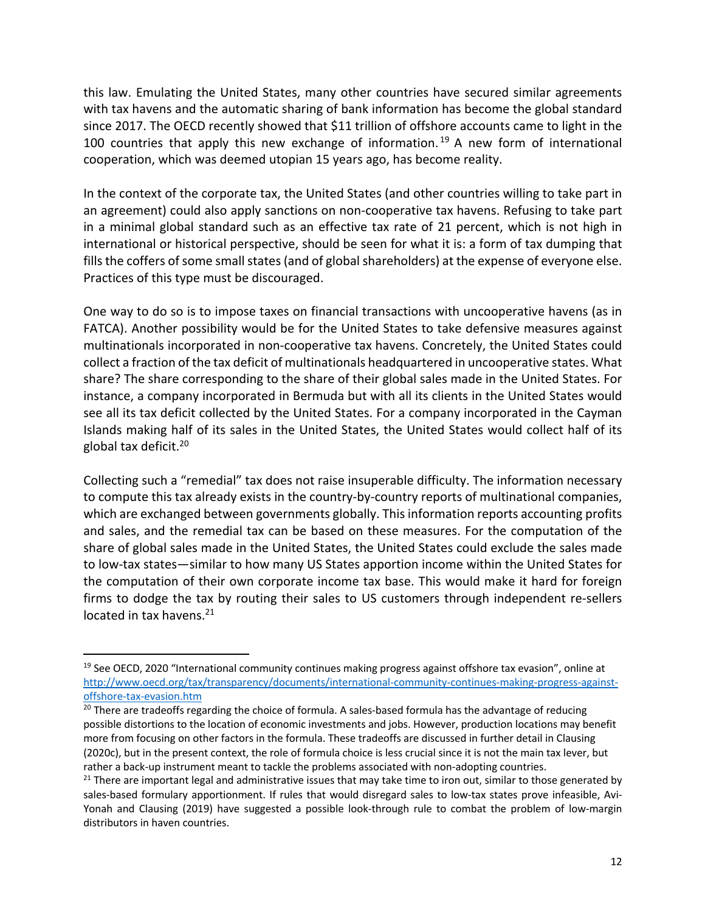this law. Emulating the United States, many other countries have secured similar agreements with tax havens and the automatic sharing of bank information has become the global standard since 2017. The OECD recently showed that \$11 trillion of offshore accounts came to light in the 100 countries that apply this new exchange of information.<sup>19</sup> A new form of international cooperation, which was deemed utopian 15 years ago, has become reality.

In the context of the corporate tax, the United States (and other countries willing to take part in an agreement) could also apply sanctions on non-cooperative tax havens. Refusing to take part in a minimal global standard such as an effective tax rate of 21 percent, which is not high in international or historical perspective, should be seen for what it is: a form of tax dumping that fills the coffers of some small states (and of global shareholders) at the expense of everyone else. Practices of this type must be discouraged.

One way to do so is to impose taxes on financial transactions with uncooperative havens (as in FATCA). Another possibility would be for the United States to take defensive measures against multinationals incorporated in non-cooperative tax havens. Concretely, the United States could collect a fraction of the tax deficit of multinationals headquartered in uncooperative states. What share? The share corresponding to the share of their global sales made in the United States. For instance, a company incorporated in Bermuda but with all its clients in the United States would see all its tax deficit collected by the United States. For a company incorporated in the Cayman Islands making half of its sales in the United States, the United States would collect half of its global tax deficit.20

Collecting such a "remedial" tax does not raise insuperable difficulty. The information necessary to compute this tax already exists in the country-by-country reports of multinational companies, which are exchanged between governments globally. This information reports accounting profits and sales, and the remedial tax can be based on these measures. For the computation of the share of global sales made in the United States, the United States could exclude the sales made to low-tax states—similar to how many US States apportion income within the United States for the computation of their own corporate income tax base. This would make it hard for foreign firms to dodge the tax by routing their sales to US customers through independent re-sellers located in tax havens. $21$ 

<sup>&</sup>lt;sup>19</sup> See OECD, 2020 "International community continues making progress against offshore tax evasion", online at http://www.oecd.org/tax/transparency/documents/international-community-continues-making-progress-againstoffshore-tax-evasion.htm

 $20$  There are tradeoffs regarding the choice of formula. A sales-based formula has the advantage of reducing possible distortions to the location of economic investments and jobs. However, production locations may benefit more from focusing on other factors in the formula. These tradeoffs are discussed in further detail in Clausing (2020c), but in the present context, the role of formula choice is less crucial since it is not the main tax lever, but rather a back-up instrument meant to tackle the problems associated with non-adopting countries.

 $21$  There are important legal and administrative issues that may take time to iron out, similar to those generated by sales-based formulary apportionment. If rules that would disregard sales to low-tax states prove infeasible, Avi-Yonah and Clausing (2019) have suggested a possible look-through rule to combat the problem of low-margin distributors in haven countries.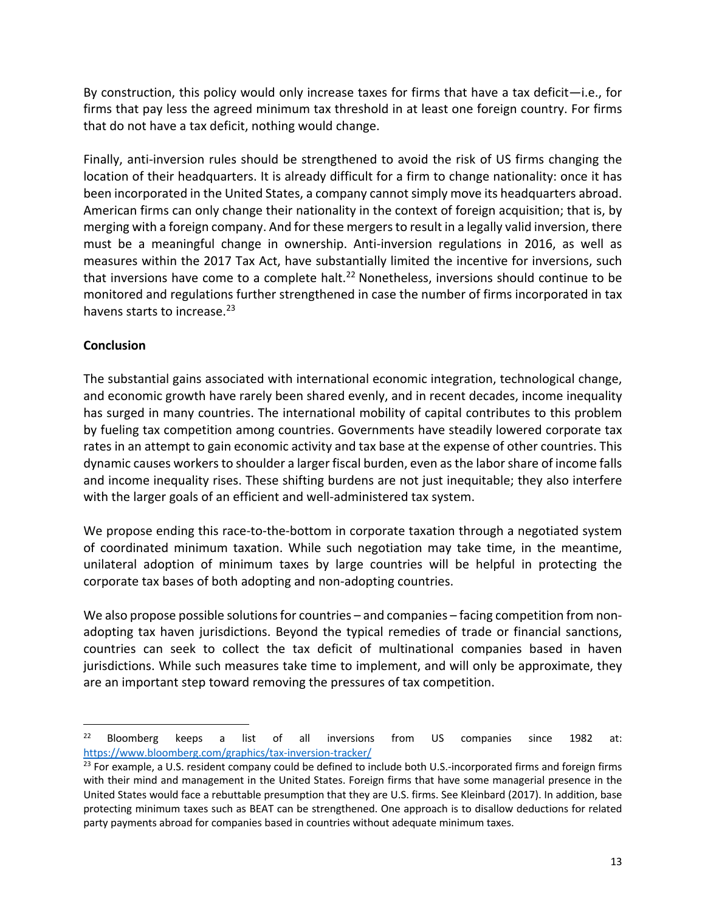By construction, this policy would only increase taxes for firms that have a tax deficit—i.e., for firms that pay less the agreed minimum tax threshold in at least one foreign country. For firms that do not have a tax deficit, nothing would change.

Finally, anti-inversion rules should be strengthened to avoid the risk of US firms changing the location of their headquarters. It is already difficult for a firm to change nationality: once it has been incorporated in the United States, a company cannot simply move its headquarters abroad. American firms can only change their nationality in the context of foreign acquisition; that is, by merging with a foreign company. And for these mergers to result in a legally valid inversion, there must be a meaningful change in ownership. Anti-inversion regulations in 2016, as well as measures within the 2017 Tax Act, have substantially limited the incentive for inversions, such that inversions have come to a complete halt.<sup>22</sup> Nonetheless, inversions should continue to be monitored and regulations further strengthened in case the number of firms incorporated in tax havens starts to increase.<sup>23</sup>

# **Conclusion**

The substantial gains associated with international economic integration, technological change, and economic growth have rarely been shared evenly, and in recent decades, income inequality has surged in many countries. The international mobility of capital contributes to this problem by fueling tax competition among countries. Governments have steadily lowered corporate tax rates in an attempt to gain economic activity and tax base at the expense of other countries. This dynamic causes workersto shoulder a larger fiscal burden, even as the labor share of income falls and income inequality rises. These shifting burdens are not just inequitable; they also interfere with the larger goals of an efficient and well-administered tax system.

We propose ending this race-to-the-bottom in corporate taxation through a negotiated system of coordinated minimum taxation. While such negotiation may take time, in the meantime, unilateral adoption of minimum taxes by large countries will be helpful in protecting the corporate tax bases of both adopting and non-adopting countries.

We also propose possible solutions for countries – and companies – facing competition from nonadopting tax haven jurisdictions. Beyond the typical remedies of trade or financial sanctions, countries can seek to collect the tax deficit of multinational companies based in haven jurisdictions. While such measures take time to implement, and will only be approximate, they are an important step toward removing the pressures of tax competition.

 $22$  Bloomberg keeps a list of all inversions from US companies since 1982 at: https://www.bloomberg.com/graphics/tax-inversion-tracker/

<sup>&</sup>lt;sup>23</sup> For example, a U.S. resident company could be defined to include both U.S.-incorporated firms and foreign firms with their mind and management in the United States. Foreign firms that have some managerial presence in the United States would face a rebuttable presumption that they are U.S. firms. See Kleinbard (2017). In addition, base protecting minimum taxes such as BEAT can be strengthened. One approach is to disallow deductions for related party payments abroad for companies based in countries without adequate minimum taxes.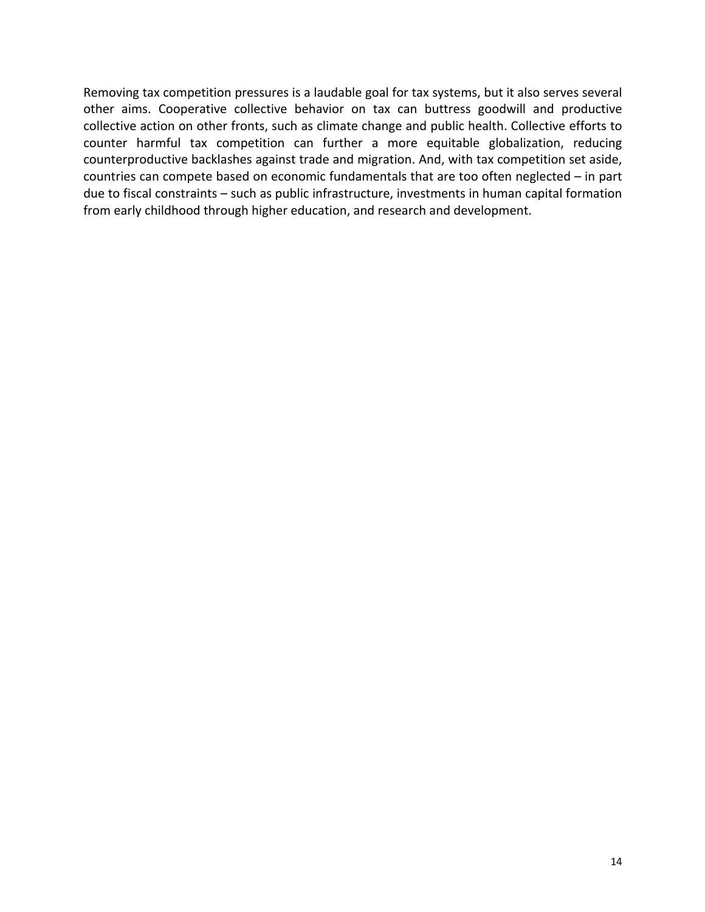Removing tax competition pressures is a laudable goal for tax systems, but it also serves several other aims. Cooperative collective behavior on tax can buttress goodwill and productive collective action on other fronts, such as climate change and public health. Collective efforts to counter harmful tax competition can further a more equitable globalization, reducing counterproductive backlashes against trade and migration. And, with tax competition set aside, countries can compete based on economic fundamentals that are too often neglected – in part due to fiscal constraints – such as public infrastructure, investments in human capital formation from early childhood through higher education, and research and development.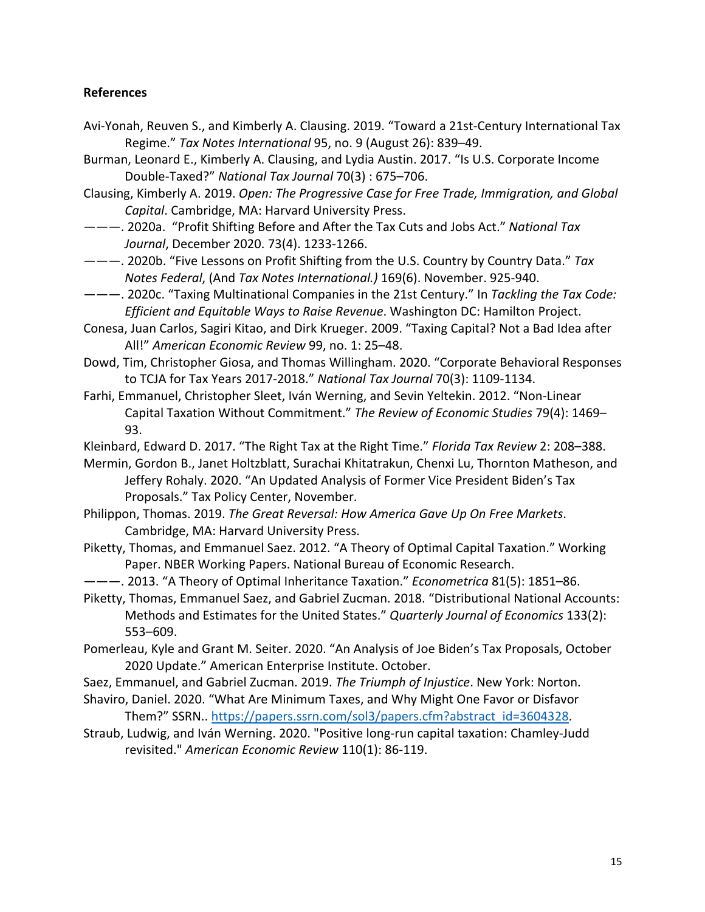#### **References**

- Avi-Yonah, Reuven S., and Kimberly A. Clausing. 2019. "Toward a 21st-Century International Tax Regime." *Tax Notes International* 95, no. 9 (August 26): 839–49.
- Burman, Leonard E., Kimberly A. Clausing, and Lydia Austin. 2017. "Is U.S. Corporate Income Double-Taxed?" *National Tax Journal* 70(3) : 675–706.

Clausing, Kimberly A. 2019. *Open: The Progressive Case for Free Trade, Immigration, and Global Capital*. Cambridge, MA: Harvard University Press.

———. 2020a. "Profit Shifting Before and After the Tax Cuts and Jobs Act." *National Tax Journal*, December 2020. 73(4). 1233-1266.

———. 2020b. "Five Lessons on Profit Shifting from the U.S. Country by Country Data." *Tax Notes Federal*, (And *Tax Notes International.)* 169(6). November. 925-940.

- ———. 2020c. "Taxing Multinational Companies in the 21st Century." In *Tackling the Tax Code: Efficient and Equitable Ways to Raise Revenue*. Washington DC: Hamilton Project.
- Conesa, Juan Carlos, Sagiri Kitao, and Dirk Krueger. 2009. "Taxing Capital? Not a Bad Idea after All!" *American Economic Review* 99, no. 1: 25–48.
- Dowd, Tim, Christopher Giosa, and Thomas Willingham. 2020. "Corporate Behavioral Responses to TCJA for Tax Years 2017-2018." *National Tax Journal* 70(3): 1109-1134.
- Farhi, Emmanuel, Christopher Sleet, Iván Werning, and Sevin Yeltekin. 2012. "Non-Linear Capital Taxation Without Commitment." *The Review of Economic Studies* 79(4): 1469– 93.

Kleinbard, Edward D. 2017. "The Right Tax at the Right Time." *Florida Tax Review* 2: 208–388.

- Mermin, Gordon B., Janet Holtzblatt, Surachai Khitatrakun, Chenxi Lu, Thornton Matheson, and Jeffery Rohaly. 2020. "An Updated Analysis of Former Vice President Biden's Tax Proposals." Tax Policy Center, November.
- Philippon, Thomas. 2019. *The Great Reversal: How America Gave Up On Free Markets*. Cambridge, MA: Harvard University Press.
- Piketty, Thomas, and Emmanuel Saez. 2012. "A Theory of Optimal Capital Taxation." Working Paper. NBER Working Papers. National Bureau of Economic Research.
- ———. 2013. "A Theory of Optimal Inheritance Taxation." *Econometrica* 81(5): 1851–86.
- Piketty, Thomas, Emmanuel Saez, and Gabriel Zucman. 2018. "Distributional National Accounts: Methods and Estimates for the United States." *Quarterly Journal of Economics* 133(2): 553–609.
- Pomerleau, Kyle and Grant M. Seiter. 2020. "An Analysis of Joe Biden's Tax Proposals, October 2020 Update." American Enterprise Institute. October.
- Saez, Emmanuel, and Gabriel Zucman. 2019. *The Triumph of Injustice*. New York: Norton.
- Shaviro, Daniel. 2020. "What Are Minimum Taxes, and Why Might One Favor or Disfavor Them?" SSRN.. https://papers.ssrn.com/sol3/papers.cfm?abstract\_id=3604328.
- Straub, Ludwig, and Iván Werning. 2020. "Positive long-run capital taxation: Chamley-Judd revisited." *American Economic Review* 110(1): 86-119.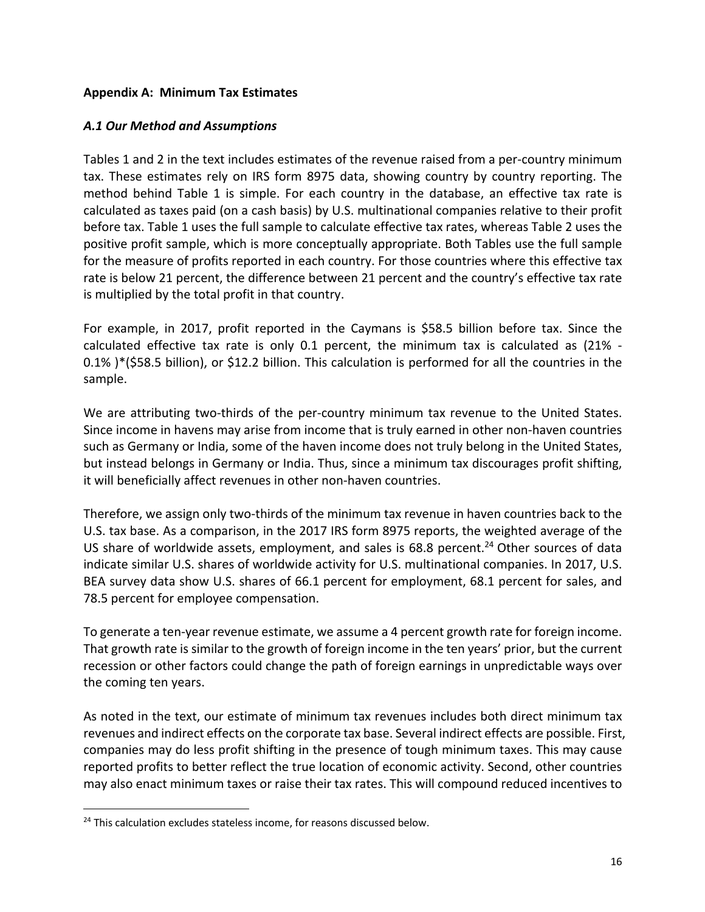## **Appendix A: Minimum Tax Estimates**

### *A.1 Our Method and Assumptions*

Tables 1 and 2 in the text includes estimates of the revenue raised from a per-country minimum tax. These estimates rely on IRS form 8975 data, showing country by country reporting. The method behind Table 1 is simple. For each country in the database, an effective tax rate is calculated as taxes paid (on a cash basis) by U.S. multinational companies relative to their profit before tax. Table 1 uses the full sample to calculate effective tax rates, whereas Table 2 uses the positive profit sample, which is more conceptually appropriate. Both Tables use the full sample for the measure of profits reported in each country. For those countries where this effective tax rate is below 21 percent, the difference between 21 percent and the country's effective tax rate is multiplied by the total profit in that country.

For example, in 2017, profit reported in the Caymans is \$58.5 billion before tax. Since the calculated effective tax rate is only 0.1 percent, the minimum tax is calculated as (21% - 0.1% )\*(\$58.5 billion), or \$12.2 billion. This calculation is performed for all the countries in the sample.

We are attributing two-thirds of the per-country minimum tax revenue to the United States. Since income in havens may arise from income that is truly earned in other non-haven countries such as Germany or India, some of the haven income does not truly belong in the United States, but instead belongs in Germany or India. Thus, since a minimum tax discourages profit shifting, it will beneficially affect revenues in other non-haven countries.

Therefore, we assign only two-thirds of the minimum tax revenue in haven countries back to the U.S. tax base. As a comparison, in the 2017 IRS form 8975 reports, the weighted average of the US share of worldwide assets, employment, and sales is  $68.8$  percent.<sup>24</sup> Other sources of data indicate similar U.S. shares of worldwide activity for U.S. multinational companies. In 2017, U.S. BEA survey data show U.S. shares of 66.1 percent for employment, 68.1 percent for sales, and 78.5 percent for employee compensation.

To generate a ten-year revenue estimate, we assume a 4 percent growth rate for foreign income. That growth rate is similar to the growth of foreign income in the ten years' prior, but the current recession or other factors could change the path of foreign earnings in unpredictable ways over the coming ten years.

As noted in the text, our estimate of minimum tax revenues includes both direct minimum tax revenues and indirect effects on the corporate tax base. Several indirect effects are possible. First, companies may do less profit shifting in the presence of tough minimum taxes. This may cause reported profits to better reflect the true location of economic activity. Second, other countries may also enact minimum taxes or raise their tax rates. This will compound reduced incentives to

<sup>&</sup>lt;sup>24</sup> This calculation excludes stateless income, for reasons discussed below.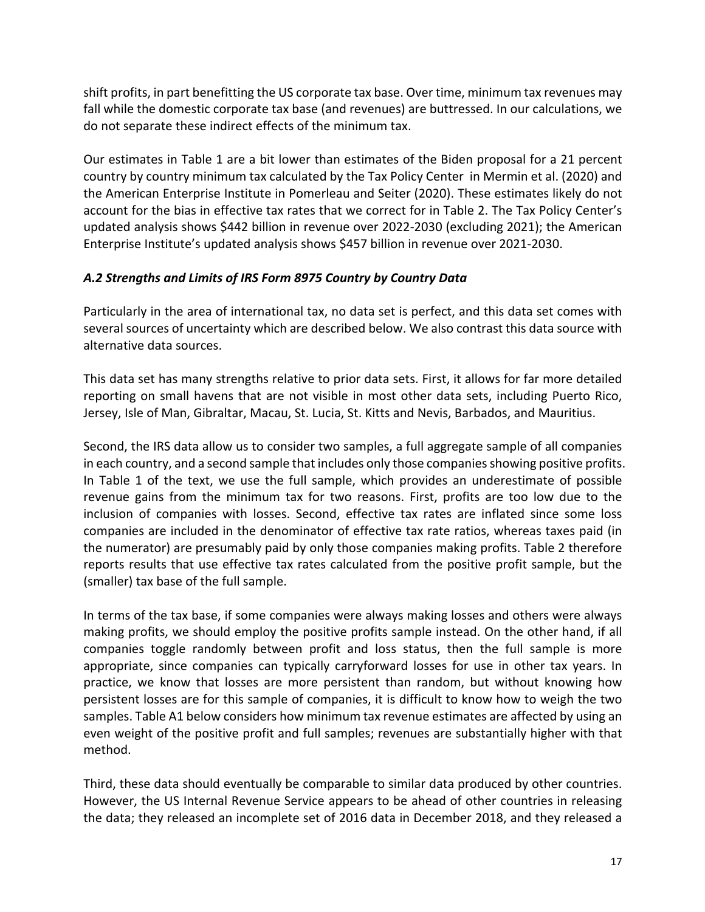shift profits, in part benefitting the US corporate tax base. Over time, minimum tax revenues may fall while the domestic corporate tax base (and revenues) are buttressed. In our calculations, we do not separate these indirect effects of the minimum tax.

Our estimates in Table 1 are a bit lower than estimates of the Biden proposal for a 21 percent country by country minimum tax calculated by the Tax Policy Center in Mermin et al. (2020) and the American Enterprise Institute in Pomerleau and Seiter (2020). These estimates likely do not account for the bias in effective tax rates that we correct for in Table 2. The Tax Policy Center's updated analysis shows \$442 billion in revenue over 2022-2030 (excluding 2021); the American Enterprise Institute's updated analysis shows \$457 billion in revenue over 2021-2030.

# *A.2 Strengths and Limits of IRS Form 8975 Country by Country Data*

Particularly in the area of international tax, no data set is perfect, and this data set comes with several sources of uncertainty which are described below. We also contrast this data source with alternative data sources.

This data set has many strengths relative to prior data sets. First, it allows for far more detailed reporting on small havens that are not visible in most other data sets, including Puerto Rico, Jersey, Isle of Man, Gibraltar, Macau, St. Lucia, St. Kitts and Nevis, Barbados, and Mauritius.

Second, the IRS data allow us to consider two samples, a full aggregate sample of all companies in each country, and a second sample that includes only those companies showing positive profits. In Table 1 of the text, we use the full sample, which provides an underestimate of possible revenue gains from the minimum tax for two reasons. First, profits are too low due to the inclusion of companies with losses. Second, effective tax rates are inflated since some loss companies are included in the denominator of effective tax rate ratios, whereas taxes paid (in the numerator) are presumably paid by only those companies making profits. Table 2 therefore reports results that use effective tax rates calculated from the positive profit sample, but the (smaller) tax base of the full sample.

In terms of the tax base, if some companies were always making losses and others were always making profits, we should employ the positive profits sample instead. On the other hand, if all companies toggle randomly between profit and loss status, then the full sample is more appropriate, since companies can typically carryforward losses for use in other tax years. In practice, we know that losses are more persistent than random, but without knowing how persistent losses are for this sample of companies, it is difficult to know how to weigh the two samples. Table A1 below considers how minimum tax revenue estimates are affected by using an even weight of the positive profit and full samples; revenues are substantially higher with that method.

Third, these data should eventually be comparable to similar data produced by other countries. However, the US Internal Revenue Service appears to be ahead of other countries in releasing the data; they released an incomplete set of 2016 data in December 2018, and they released a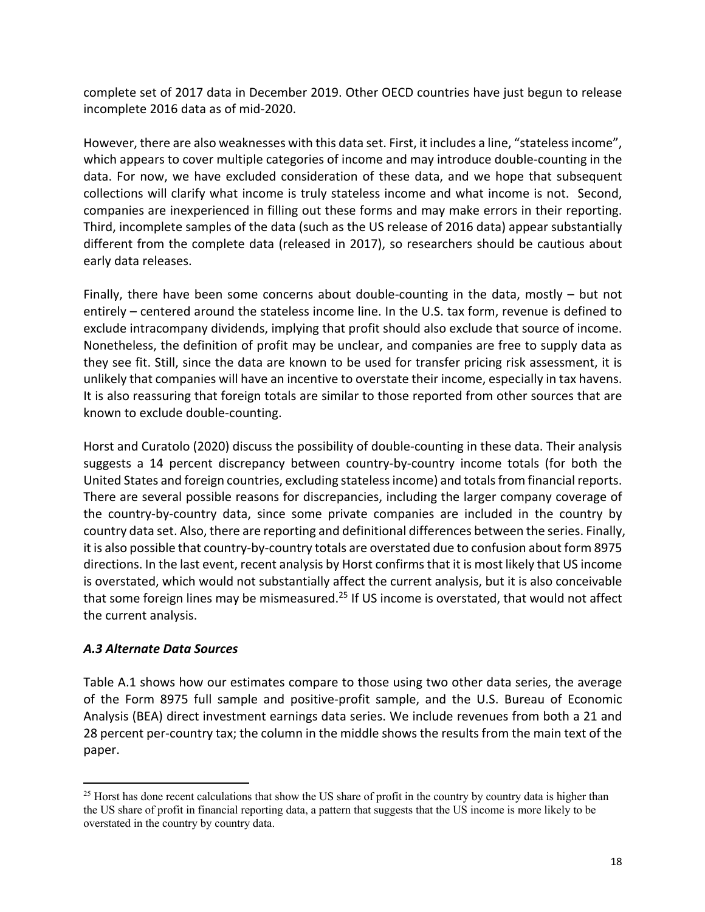complete set of 2017 data in December 2019. Other OECD countries have just begun to release incomplete 2016 data as of mid-2020.

However, there are also weaknesses with this data set. First, it includes a line, "stateless income", which appears to cover multiple categories of income and may introduce double-counting in the data. For now, we have excluded consideration of these data, and we hope that subsequent collections will clarify what income is truly stateless income and what income is not. Second, companies are inexperienced in filling out these forms and may make errors in their reporting. Third, incomplete samples of the data (such as the US release of 2016 data) appear substantially different from the complete data (released in 2017), so researchers should be cautious about early data releases.

Finally, there have been some concerns about double-counting in the data, mostly – but not entirely – centered around the stateless income line. In the U.S. tax form, revenue is defined to exclude intracompany dividends, implying that profit should also exclude that source of income. Nonetheless, the definition of profit may be unclear, and companies are free to supply data as they see fit. Still, since the data are known to be used for transfer pricing risk assessment, it is unlikely that companies will have an incentive to overstate their income, especially in tax havens. It is also reassuring that foreign totals are similar to those reported from other sources that are known to exclude double-counting.

Horst and Curatolo (2020) discuss the possibility of double-counting in these data. Their analysis suggests a 14 percent discrepancy between country-by-country income totals (for both the United States and foreign countries, excluding stateless income) and totals from financial reports. There are several possible reasons for discrepancies, including the larger company coverage of the country-by-country data, since some private companies are included in the country by country data set. Also, there are reporting and definitional differences between the series. Finally, it is also possible that country-by-country totals are overstated due to confusion about form 8975 directions. In the last event, recent analysis by Horst confirms that it is most likely that US income is overstated, which would not substantially affect the current analysis, but it is also conceivable that some foreign lines may be mismeasured.<sup>25</sup> If US income is overstated, that would not affect the current analysis.

# *A.3 Alternate Data Sources*

Table A.1 shows how our estimates compare to those using two other data series, the average of the Form 8975 full sample and positive-profit sample, and the U.S. Bureau of Economic Analysis (BEA) direct investment earnings data series. We include revenues from both a 21 and 28 percent per-country tax; the column in the middle shows the results from the main text of the paper.

<sup>&</sup>lt;sup>25</sup> Horst has done recent calculations that show the US share of profit in the country by country data is higher than the US share of profit in financial reporting data, a pattern that suggests that the US income is more likely to be overstated in the country by country data.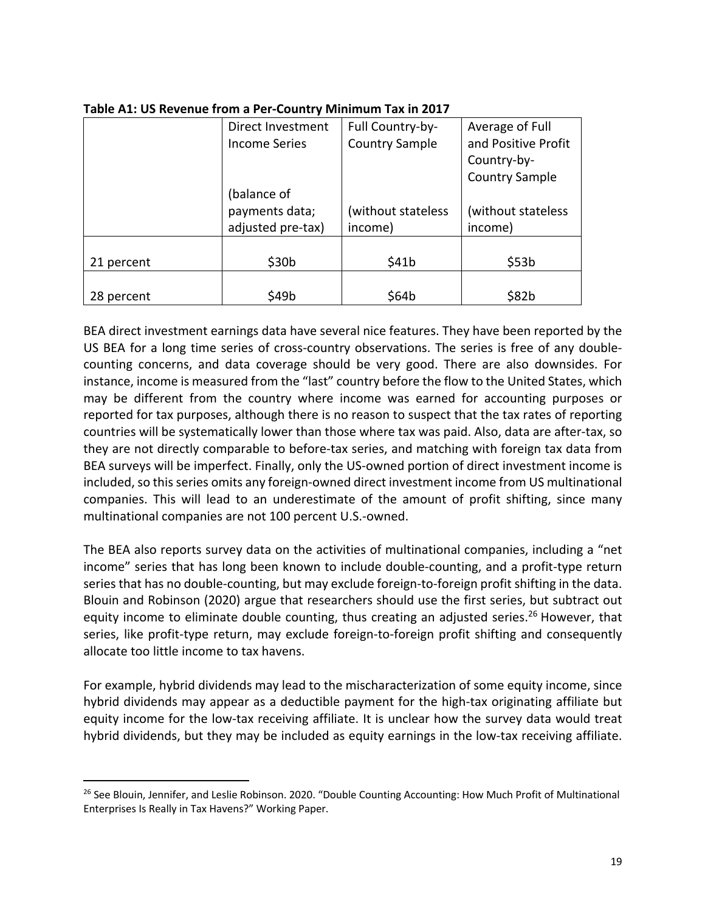|            | Full Country-by-<br>Direct Investment |                       | Average of Full     |  |
|------------|---------------------------------------|-----------------------|---------------------|--|
|            | <b>Income Series</b>                  | <b>Country Sample</b> | and Positive Profit |  |
|            |                                       |                       | Country-by-         |  |
|            |                                       | <b>Country Sample</b> |                     |  |
|            | (balance of                           |                       |                     |  |
|            | payments data;                        | (without stateless    | (without stateless  |  |
|            | adjusted pre-tax)                     | income)               | income)             |  |
|            |                                       |                       |                     |  |
| 21 percent | \$30 <sub>b</sub>                     | \$41b                 | \$53b               |  |
|            |                                       |                       |                     |  |
| 28 percent | \$49b                                 | \$64b                 | \$82b               |  |

#### **Table A1: US Revenue from a Per-Country Minimum Tax in 2017**

BEA direct investment earnings data have several nice features. They have been reported by the US BEA for a long time series of cross-country observations. The series is free of any doublecounting concerns, and data coverage should be very good. There are also downsides. For instance, income is measured from the "last" country before the flow to the United States, which may be different from the country where income was earned for accounting purposes or reported for tax purposes, although there is no reason to suspect that the tax rates of reporting countries will be systematically lower than those where tax was paid. Also, data are after-tax, so they are not directly comparable to before-tax series, and matching with foreign tax data from BEA surveys will be imperfect. Finally, only the US-owned portion of direct investment income is included, so this series omits any foreign-owned direct investment income from US multinational companies. This will lead to an underestimate of the amount of profit shifting, since many multinational companies are not 100 percent U.S.-owned.

The BEA also reports survey data on the activities of multinational companies, including a "net income" series that has long been known to include double-counting, and a profit-type return series that has no double-counting, but may exclude foreign-to-foreign profit shifting in the data. Blouin and Robinson (2020) argue that researchers should use the first series, but subtract out equity income to eliminate double counting, thus creating an adjusted series.<sup>26</sup> However, that series, like profit-type return, may exclude foreign-to-foreign profit shifting and consequently allocate too little income to tax havens.

For example, hybrid dividends may lead to the mischaracterization of some equity income, since hybrid dividends may appear as a deductible payment for the high-tax originating affiliate but equity income for the low-tax receiving affiliate. It is unclear how the survey data would treat hybrid dividends, but they may be included as equity earnings in the low-tax receiving affiliate.

<sup>&</sup>lt;sup>26</sup> See Blouin, Jennifer, and Leslie Robinson. 2020. "Double Counting Accounting: How Much Profit of Multinational Enterprises Is Really in Tax Havens?" Working Paper.